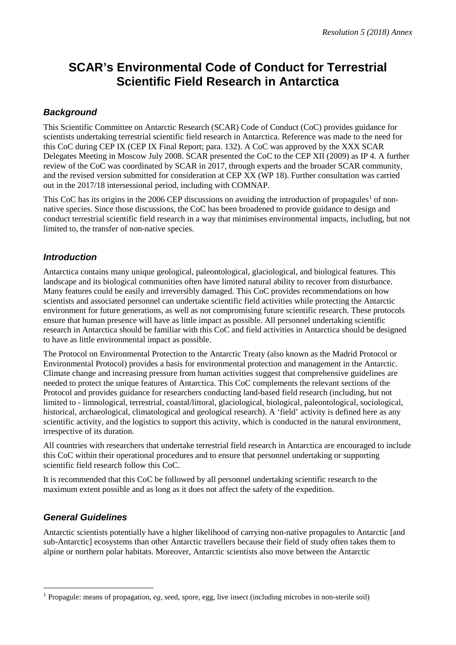# **SCAR's Environmental Code of Conduct for Terrestrial Scientific Field Research in Antarctica**

## *Background*

This Scientific Committee on Antarctic Research (SCAR) Code of Conduct (CoC) provides guidance for scientists undertaking terrestrial scientific field research in Antarctica. Reference was made to the need for this CoC during CEP IX (CEP IX Final Report; para. 132). A CoC was approved by the XXX SCAR Delegates Meeting in Moscow July 2008. SCAR presented the CoC to the CEP XII (2009) as IP 4. A further review of the CoC was coordinated by SCAR in 2017, through experts and the broader SCAR community, and the revised version submitted for consideration at CEP XX (WP 18). Further consultation was carried out in the 2017/18 intersessional period, including with COMNAP.

This CoC has its origins in the 2006 CEP discussions on avoiding the introduction of propagules<sup>[1](#page-0-0)</sup> of nonnative species. Since those discussions, the CoC has been broadened to provide guidance to design and conduct terrestrial scientific field research in a way that minimises environmental impacts, including, but not limited to, the transfer of non-native species.

## *Introduction*

Antarctica contains many unique geological, paleontological, glaciological, and biological features. This landscape and its biological communities often have limited natural ability to recover from disturbance. Many features could be easily and irreversibly damaged. This CoC provides recommendations on how scientists and associated personnel can undertake scientific field activities while protecting the Antarctic environment for future generations, as well as not compromising future scientific research. These protocols ensure that human presence will have as little impact as possible. All personnel undertaking scientific research in Antarctica should be familiar with this CoC and field activities in Antarctica should be designed to have as little environmental impact as possible.

The Protocol on Environmental Protection to the Antarctic Treaty (also known as the Madrid Protocol or Environmental Protocol) provides a basis for environmental protection and management in the Antarctic. Climate change and increasing pressure from human activities suggest that comprehensive guidelines are needed to protect the unique features of Antarctica. This CoC complements the relevant sections of the Protocol and provides guidance for researchers conducting land-based field research (including, but not limited to - limnological, terrestrial, coastal/littoral, glaciological, biological, paleontological, sociological, historical, archaeological, climatological and geological research). A 'field' activity is defined here as any scientific activity, and the logistics to support this activity, which is conducted in the natural environment, irrespective of its duration.

All countries with researchers that undertake terrestrial field research in Antarctica are encouraged to include this CoC within their operational procedures and to ensure that personnel undertaking or supporting scientific field research follow this CoC.

It is recommended that this CoC be followed by all personnel undertaking scientific research to the maximum extent possible and as long as it does not affect the safety of the expedition.

# *General Guidelines*

Antarctic scientists potentially have a higher likelihood of carrying non-native propagules to Antarctic [and sub-Antarctic] ecosystems than other Antarctic travellers because their field of study often takes them to alpine or northern polar habitats. Moreover, Antarctic scientists also move between the Antarctic

<span id="page-0-0"></span> <sup>1</sup> Propagule: means of propagation, *eg*, seed, spore, egg, live insect (including microbes in non-sterile soil)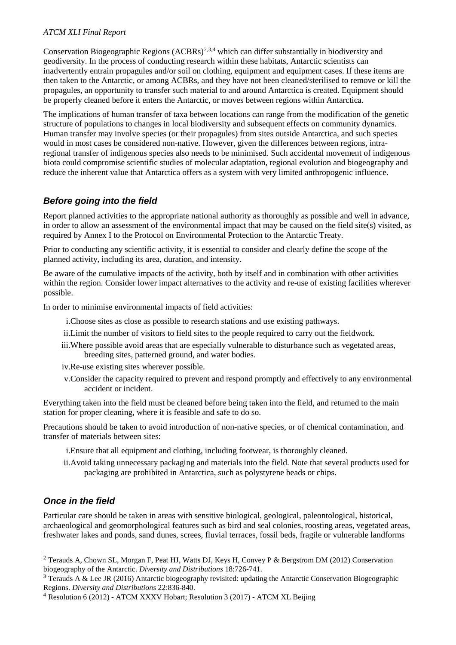## *ATCM XLI Final Report*

Conservation Biogeographic Regions (ACBRs)<sup>[2](#page-1-0),[3,](#page-1-1)[4](#page-1-2)</sup> which can differ substantially in biodiversity and geodiversity. In the process of conducting research within these habitats, Antarctic scientists can inadvertently entrain propagules and/or soil on clothing, equipment and equipment cases. If these items are then taken to the Antarctic, or among ACBRs, and they have not been cleaned/sterilised to remove or kill the propagules, an opportunity to transfer such material to and around Antarctica is created. Equipment should be properly cleaned before it enters the Antarctic, or moves between regions within Antarctica.

The implications of human transfer of taxa between locations can range from the modification of the genetic structure of populations to changes in local biodiversity and subsequent effects on community dynamics. Human transfer may involve species (or their propagules) from sites outside Antarctica, and such species would in most cases be considered non-native. However, given the differences between regions, intraregional transfer of indigenous species also needs to be minimised. Such accidental movement of indigenous biota could compromise scientific studies of molecular adaptation, regional evolution and biogeography and reduce the inherent value that Antarctica offers as a system with very limited anthropogenic influence.

## *Before going into the field*

Report planned activities to the appropriate national authority as thoroughly as possible and well in advance, in order to allow an assessment of the environmental impact that may be caused on the field site(s) visited, as required by Annex I to the Protocol on Environmental Protection to the Antarctic Treaty.

Prior to conducting any scientific activity, it is essential to consider and clearly define the scope of the planned activity, including its area, duration, and intensity.

Be aware of the cumulative impacts of the activity, both by itself and in combination with other activities within the region. Consider lower impact alternatives to the activity and re-use of existing facilities wherever possible.

In order to minimise environmental impacts of field activities:

- i.Choose sites as close as possible to research stations and use existing pathways.
- ii.Limit the number of visitors to field sites to the people required to carry out the fieldwork.
- iii.Where possible avoid areas that are especially vulnerable to disturbance such as vegetated areas, breeding sites, patterned ground, and water bodies.
- iv.Re-use existing sites wherever possible.
- v.Consider the capacity required to prevent and respond promptly and effectively to any environmental accident or incident.

Everything taken into the field must be cleaned before being taken into the field, and returned to the main station for proper cleaning, where it is feasible and safe to do so.

Precautions should be taken to avoid introduction of non-native species, or of chemical contamination, and transfer of materials between sites:

- i.Ensure that all equipment and clothing, including footwear, is thoroughly cleaned.
- ii.Avoid taking unnecessary packaging and materials into the field. Note that several products used for packaging are prohibited in Antarctica, such as polystyrene beads or chips.

# *Once in the field*

Particular care should be taken in areas with sensitive biological, geological, paleontological, historical, archaeological and geomorphological features such as bird and seal colonies, roosting areas, vegetated areas, freshwater lakes and ponds, sand dunes, screes, fluvial terraces, fossil beds, fragile or vulnerable landforms

<span id="page-1-0"></span> <sup>2</sup> Terauds A, Chown SL, Morgan F, Peat HJ, Watts DJ, Keys H, Convey P & Bergstrom DM (2012) Conservation biogeography of the Antarctic. *Diversity and Distributions* 18:726-741.

<span id="page-1-1"></span><sup>&</sup>lt;sup>3</sup> Terauds A & Lee JR (2016) Antarctic biogeography revisited: updating the Antarctic Conservation Biogeographic Regions. *Diversity and Distributions* 22:836-840.

<span id="page-1-2"></span><sup>4</sup> Resolution 6 (2012) - ATCM XXXV Hobart; Resolution 3 (2017) - ATCM XL Beijing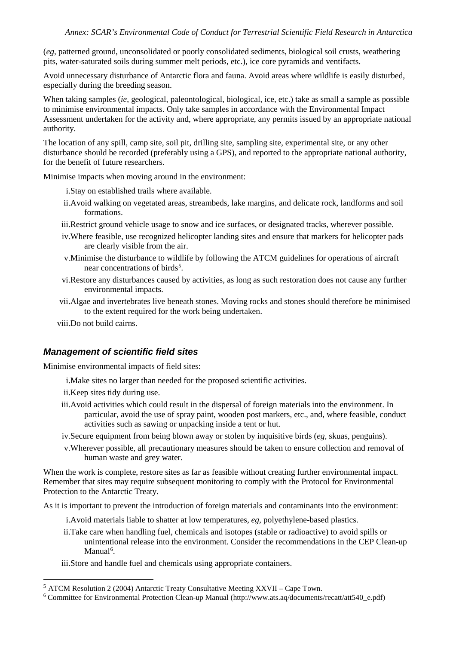(*eg*, patterned ground, unconsolidated or poorly consolidated sediments, biological soil crusts, weathering pits, water-saturated soils during summer melt periods, etc.), ice core pyramids and ventifacts.

Avoid unnecessary disturbance of Antarctic flora and fauna. Avoid areas where wildlife is easily disturbed, especially during the breeding season.

When taking samples (*ie*, geological, paleontological, biological, ice, etc.) take as small a sample as possible to minimise environmental impacts. Only take samples in accordance with the Environmental Impact Assessment undertaken for the activity and, where appropriate, any permits issued by an appropriate national authority.

The location of any spill, camp site, soil pit, drilling site, sampling site, experimental site, or any other disturbance should be recorded (preferably using a GPS), and reported to the appropriate national authority, for the benefit of future researchers.

Minimise impacts when moving around in the environment:

i.Stay on established trails where available.

- ii.Avoid walking on vegetated areas, streambeds, lake margins, and delicate rock, landforms and soil formations.
- iii.Restrict ground vehicle usage to snow and ice surfaces, or designated tracks, wherever possible.
- iv.Where feasible, use recognized helicopter landing sites and ensure that markers for helicopter pads are clearly visible from the air.
- v.Minimise the disturbance to wildlife by following the ATCM guidelines for operations of aircraft near concentrations of birds<sup>[5](#page-2-0)</sup>.
- vi.Restore any disturbances caused by activities, as long as such restoration does not cause any further environmental impacts.
- vii.Algae and invertebrates live beneath stones. Moving rocks and stones should therefore be minimised to the extent required for the work being undertaken.
- viii.Do not build cairns.

### *Management of scientific field sites*

Minimise environmental impacts of field sites:

- i.Make sites no larger than needed for the proposed scientific activities.
- ii.Keep sites tidy during use.
- iii.Avoid activities which could result in the dispersal of foreign materials into the environment. In particular, avoid the use of spray paint, wooden post markers, etc., and, where feasible, conduct activities such as sawing or unpacking inside a tent or hut.
- iv.Secure equipment from being blown away or stolen by inquisitive birds (*eg*, skuas, penguins).
- v.Wherever possible, all precautionary measures should be taken to ensure collection and removal of human waste and grey water.

When the work is complete, restore sites as far as feasible without creating further environmental impact. Remember that sites may require subsequent monitoring to comply with the Protocol for Environmental Protection to the Antarctic Treaty.

As it is important to prevent the introduction of foreign materials and contaminants into the environment:

- i.Avoid materials liable to shatter at low temperatures, *eg*, polyethylene-based plastics.
- ii.Take care when handling fuel, chemicals and isotopes (stable or radioactive) to avoid spills or unintentional release into the environment. Consider the recommendations in the CEP Clean-up Manual<sup>[6](#page-2-1)</sup>.
- iii.Store and handle fuel and chemicals using appropriate containers.

<span id="page-2-1"></span><span id="page-2-0"></span><sup>5</sup> ATCM Resolution 2 (2004) Antarctic Treaty Consultative Meeting XXVII – Cape Town. 6 Committee for Environmental Protection Clean-up Manual (http://www.ats.aq/documents/recatt/att540\_e.pdf)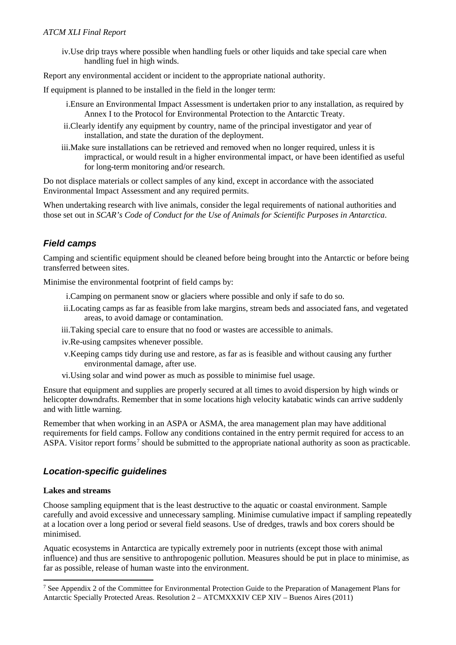## *ATCM XLI Final Report*

iv.Use drip trays where possible when handling fuels or other liquids and take special care when handling fuel in high winds.

Report any environmental accident or incident to the appropriate national authority.

If equipment is planned to be installed in the field in the longer term:

- i.Ensure an Environmental Impact Assessment is undertaken prior to any installation, as required by Annex I to the Protocol for Environmental Protection to the Antarctic Treaty.
- ii.Clearly identify any equipment by country, name of the principal investigator and year of installation, and state the duration of the deployment.
- iii.Make sure installations can be retrieved and removed when no longer required, unless it is impractical, or would result in a higher environmental impact, or have been identified as useful for long-term monitoring and/or research.

Do not displace materials or collect samples of any kind, except in accordance with the associated Environmental Impact Assessment and any required permits.

When undertaking research with live animals, consider the legal requirements of national authorities and those set out in *SCAR's Code of Conduct for the Use of Animals for Scientific Purposes in Antarctica*.

## *Field camps*

Camping and scientific equipment should be cleaned before being brought into the Antarctic or before being transferred between sites.

Minimise the environmental footprint of field camps by:

- i.Camping on permanent snow or glaciers where possible and only if safe to do so.
- ii.Locating camps as far as feasible from lake margins, stream beds and associated fans, and vegetated areas, to avoid damage or contamination.
- iii.Taking special care to ensure that no food or wastes are accessible to animals.
- iv.Re-using campsites whenever possible.
- v.Keeping camps tidy during use and restore, as far as is feasible and without causing any further environmental damage, after use.
- vi.Using solar and wind power as much as possible to minimise fuel usage.

Ensure that equipment and supplies are properly secured at all times to avoid dispersion by high winds or helicopter downdrafts. Remember that in some locations high velocity katabatic winds can arrive suddenly and with little warning.

Remember that when working in an ASPA or ASMA, the area management plan may have additional requirements for field camps. Follow any conditions contained in the entry permit required for access to an ASPA. Visitor report forms[7](#page-3-0) should be submitted to the appropriate national authority as soon as practicable.

## *Location-specific guidelines*

#### **Lakes and streams**

Choose sampling equipment that is the least destructive to the aquatic or coastal environment. Sample carefully and avoid excessive and unnecessary sampling. Minimise cumulative impact if sampling repeatedly at a location over a long period or several field seasons. Use of dredges, trawls and box corers should be minimised.

Aquatic ecosystems in Antarctica are typically extremely poor in nutrients (except those with animal influence) and thus are sensitive to anthropogenic pollution. Measures should be put in place to minimise, as far as possible, release of human waste into the environment.

<span id="page-3-0"></span> <sup>7</sup> See Appendix 2 of the Committee for Environmental Protection Guide to the Preparation of Management Plans for Antarctic Specially Protected Areas. Resolution 2 – ATCMXXXIV CEP XIV – Buenos Aires (2011)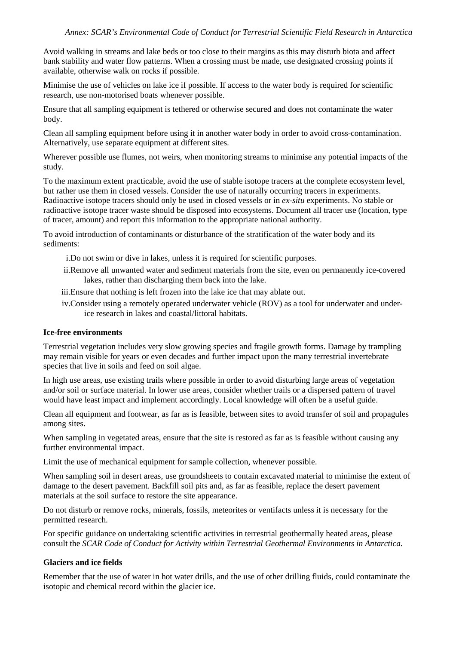Avoid walking in streams and lake beds or too close to their margins as this may disturb biota and affect bank stability and water flow patterns. When a crossing must be made, use designated crossing points if available, otherwise walk on rocks if possible.

Minimise the use of vehicles on lake ice if possible. If access to the water body is required for scientific research, use non-motorised boats whenever possible.

Ensure that all sampling equipment is tethered or otherwise secured and does not contaminate the water body.

Clean all sampling equipment before using it in another water body in order to avoid cross-contamination. Alternatively, use separate equipment at different sites.

Wherever possible use flumes, not weirs, when monitoring streams to minimise any potential impacts of the study.

To the maximum extent practicable, avoid the use of stable isotope tracers at the complete ecosystem level, but rather use them in closed vessels. Consider the use of naturally occurring tracers in experiments. Radioactive isotope tracers should only be used in closed vessels or in *ex-situ* experiments. No stable or radioactive isotope tracer waste should be disposed into ecosystems. Document all tracer use (location, type of tracer, amount) and report this information to the appropriate national authority.

To avoid introduction of contaminants or disturbance of the stratification of the water body and its sediments:

- i.Do not swim or dive in lakes, unless it is required for scientific purposes.
- ii.Remove all unwanted water and sediment materials from the site, even on permanently ice-covered lakes, rather than discharging them back into the lake.
- iii.Ensure that nothing is left frozen into the lake ice that may ablate out.
- iv.Consider using a remotely operated underwater vehicle (ROV) as a tool for underwater and underice research in lakes and coastal/littoral habitats.

#### **Ice-free environments**

Terrestrial vegetation includes very slow growing species and fragile growth forms. Damage by trampling may remain visible for years or even decades and further impact upon the many terrestrial invertebrate species that live in soils and feed on soil algae.

In high use areas, use existing trails where possible in order to avoid disturbing large areas of vegetation and/or soil or surface material. In lower use areas, consider whether trails or a dispersed pattern of travel would have least impact and implement accordingly. Local knowledge will often be a useful guide.

Clean all equipment and footwear, as far as is feasible, between sites to avoid transfer of soil and propagules among sites.

When sampling in vegetated areas, ensure that the site is restored as far as is feasible without causing any further environmental impact.

Limit the use of mechanical equipment for sample collection, whenever possible.

When sampling soil in desert areas, use groundsheets to contain excavated material to minimise the extent of damage to the desert pavement. Backfill soil pits and, as far as feasible, replace the desert pavement materials at the soil surface to restore the site appearance.

Do not disturb or remove rocks, minerals, fossils, meteorites or ventifacts unless it is necessary for the permitted research.

For specific guidance on undertaking scientific activities in terrestrial geothermally heated areas, please consult the *SCAR Code of Conduct for Activity within Terrestrial Geothermal Environments in Antarctica*.

#### **Glaciers and ice fields**

Remember that the use of water in hot water drills, and the use of other drilling fluids, could contaminate the isotopic and chemical record within the glacier ice.